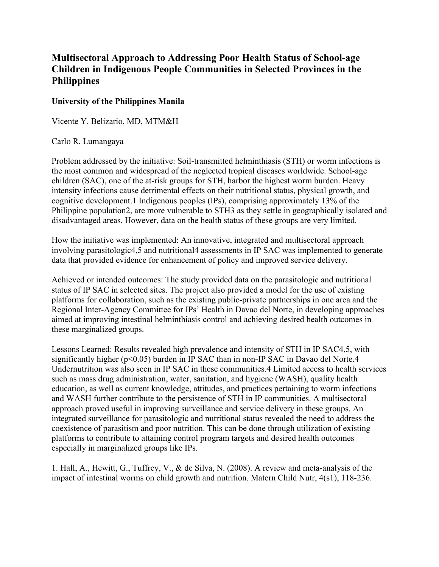## **Multisectoral Approach to Addressing Poor Health Status of School-age Children in Indigenous People Communities in Selected Provinces in the Philippines**

## **University of the Philippines Manila**

Vicente Y. Belizario, MD, MTM&H

## Carlo R. Lumangaya

Problem addressed by the initiative: Soil-transmitted helminthiasis (STH) or worm infections is the most common and widespread of the neglected tropical diseases worldwide. School-age children (SAC), one of the at-risk groups for STH, harbor the highest worm burden. Heavy intensity infections cause detrimental effects on their nutritional status, physical growth, and cognitive development.1 Indigenous peoples (IPs), comprising approximately 13% of the Philippine population2, are more vulnerable to STH3 as they settle in geographically isolated and disadvantaged areas. However, data on the health status of these groups are very limited.

How the initiative was implemented: An innovative, integrated and multisectoral approach involving parasitologic4,5 and nutritional4 assessments in IP SAC was implemented to generate data that provided evidence for enhancement of policy and improved service delivery.

Achieved or intended outcomes: The study provided data on the parasitologic and nutritional status of IP SAC in selected sites. The project also provided a model for the use of existing platforms for collaboration, such as the existing public-private partnerships in one area and the Regional Inter-Agency Committee for IPs' Health in Davao del Norte, in developing approaches aimed at improving intestinal helminthiasis control and achieving desired health outcomes in these marginalized groups.

Lessons Learned: Results revealed high prevalence and intensity of STH in IP SAC4,5, with significantly higher (p<0.05) burden in IP SAC than in non-IP SAC in Davao del Norte.4 Undernutrition was also seen in IP SAC in these communities.4 Limited access to health services such as mass drug administration, water, sanitation, and hygiene (WASH), quality health education, as well as current knowledge, attitudes, and practices pertaining to worm infections and WASH further contribute to the persistence of STH in IP communities. A multisectoral approach proved useful in improving surveillance and service delivery in these groups. An integrated surveillance for parasitologic and nutritional status revealed the need to address the coexistence of parasitism and poor nutrition. This can be done through utilization of existing platforms to contribute to attaining control program targets and desired health outcomes especially in marginalized groups like IPs.

1. Hall, A., Hewitt, G., Tuffrey, V., & de Silva, N. (2008). A review and meta-analysis of the impact of intestinal worms on child growth and nutrition. Matern Child Nutr, 4(s1), 118-236.